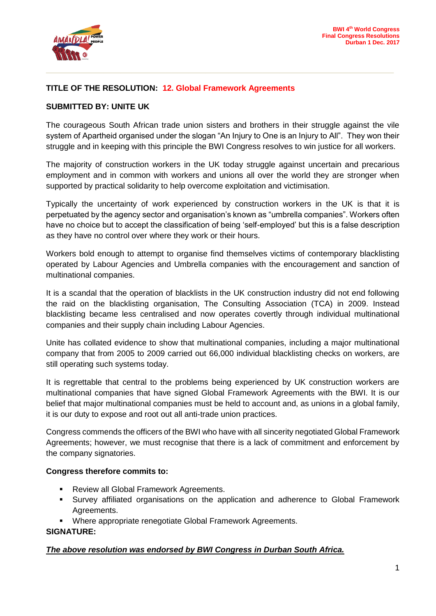

# **TITLE OF THE RESOLUTION: 12. Global Framework Agreements**

### **SUBMITTED BY: UNITE UK**

The courageous South African trade union sisters and brothers in their struggle against the vile system of Apartheid organised under the slogan "An Injury to One is an Injury to All". They won their struggle and in keeping with this principle the BWI Congress resolves to win justice for all workers.

**\_\_\_\_\_\_\_\_\_\_\_\_\_\_\_\_\_\_\_\_\_\_\_\_\_\_\_\_\_\_\_\_\_\_\_\_\_\_\_\_\_\_\_\_\_\_\_\_\_\_\_\_\_\_\_\_\_\_\_\_\_**

The majority of construction workers in the UK today struggle against uncertain and precarious employment and in common with workers and unions all over the world they are stronger when supported by practical solidarity to help overcome exploitation and victimisation.

Typically the uncertainty of work experienced by construction workers in the UK is that it is perpetuated by the agency sector and organisation's known as "umbrella companies". Workers often have no choice but to accept the classification of being 'self-employed' but this is a false description as they have no control over where they work or their hours.

Workers bold enough to attempt to organise find themselves victims of contemporary blacklisting operated by Labour Agencies and Umbrella companies with the encouragement and sanction of multinational companies.

It is a scandal that the operation of blacklists in the UK construction industry did not end following the raid on the blacklisting organisation, The Consulting Association (TCA) in 2009. Instead blacklisting became less centralised and now operates covertly through individual multinational companies and their supply chain including Labour Agencies.

Unite has collated evidence to show that multinational companies, including a major multinational company that from 2005 to 2009 carried out 66,000 individual blacklisting checks on workers, are still operating such systems today.

It is regrettable that central to the problems being experienced by UK construction workers are multinational companies that have signed Global Framework Agreements with the BWI. It is our belief that major multinational companies must be held to account and, as unions in a global family, it is our duty to expose and root out all anti-trade union practices.

Congress commends the officers of the BWI who have with all sincerity negotiated Global Framework Agreements; however, we must recognise that there is a lack of commitment and enforcement by the company signatories.

#### **Congress therefore commits to:**

- **Review all Global Framework Agreements.**
- Survey affiliated organisations on the application and adherence to Global Framework Agreements.
- Where appropriate renegotiate Global Framework Agreements.

## **SIGNATURE:**

## *The above resolution was endorsed by BWI Congress in Durban South Africa.*